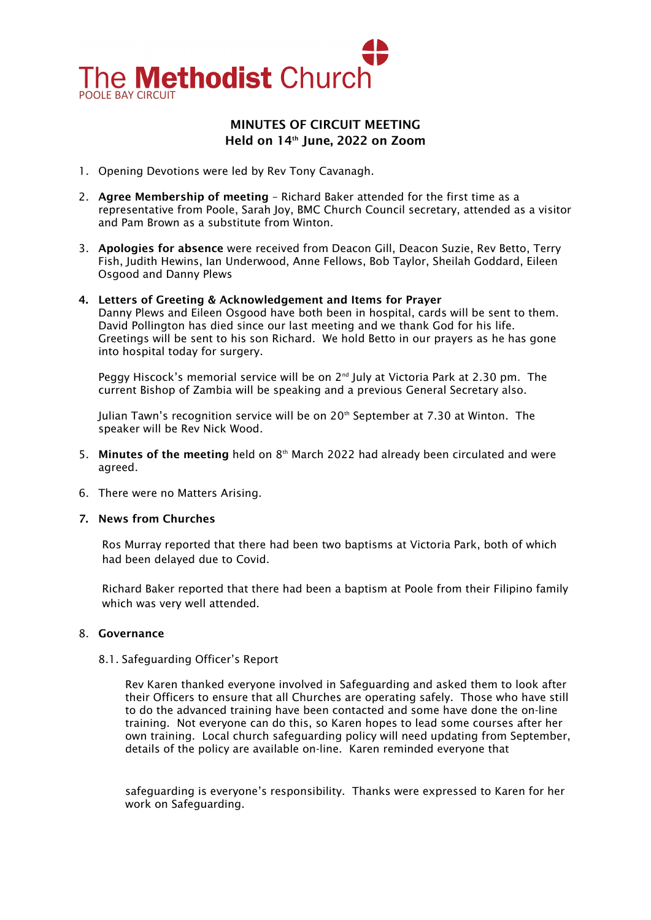

# MINUTES OF CIRCUIT MEETING Held on 14th June, 2022 on Zoom

- 1. Opening Devotions were led by Rev Tony Cavanagh.
- 2. Agree Membership of meeting Richard Baker attended for the first time as a representative from Poole, Sarah Joy, BMC Church Council secretary, attended as a visitor and Pam Brown as a substitute from Winton.
- 3. Apologies for absence were received from Deacon Gill, Deacon Suzie, Rev Betto, Terry Fish, Judith Hewins, Ian Underwood, Anne Fellows, Bob Taylor, Sheilah Goddard, Eileen Osgood and Danny Plews

#### 4. Letters of Greeting & Acknowledgement and Items for Prayer Danny Plews and Eileen Osgood have both been in hospital, cards will be sent to them. David Pollington has died since our last meeting and we thank God for his life.

Greetings will be sent to his son Richard. We hold Betto in our prayers as he has gone into hospital today for surgery.

Peggy Hiscock's memorial service will be on  $2^{nd}$  July at Victoria Park at 2.30 pm. The current Bishop of Zambia will be speaking and a previous General Secretary also.

Julian Tawn's recognition service will be on 20<sup>th</sup> September at 7.30 at Winton. The speaker will be Rev Nick Wood.

- 5. Minutes of the meeting held on  $8<sup>th</sup>$  March 2022 had already been circulated and were agreed.
- 6. There were no Matters Arising.

# 7. News from Churches

Ros Murray reported that there had been two baptisms at Victoria Park, both of which had been delayed due to Covid.

Richard Baker reported that there had been a baptism at Poole from their Filipino family which was very well attended.

# 8. Governance

# 8.1. Safeguarding Officer's Report

Rev Karen thanked everyone involved in Safeguarding and asked them to look after their Officers to ensure that all Churches are operating safely. Those who have still to do the advanced training have been contacted and some have done the on-line training. Not everyone can do this, so Karen hopes to lead some courses after her own training. Local church safeguarding policy will need updating from September, details of the policy are available on-line. Karen reminded everyone that

safeguarding is everyone's responsibility. Thanks were expressed to Karen for her work on Safeguarding.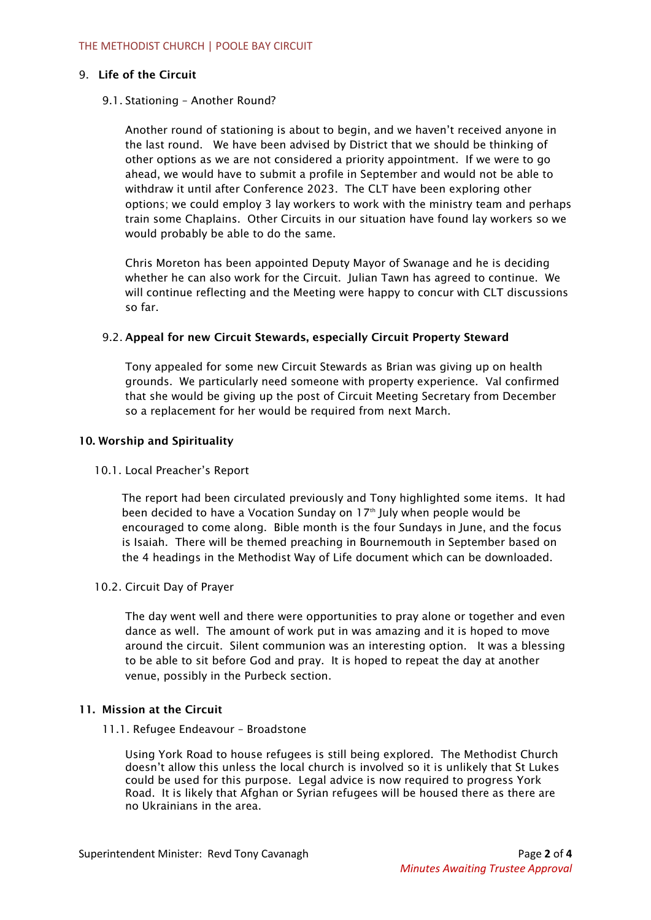# 9. Life of the Circuit

# 9.1. Stationing – Another Round?

Another round of stationing is about to begin, and we haven't received anyone in the last round. We have been advised by District that we should be thinking of other options as we are not considered a priority appointment. If we were to go ahead, we would have to submit a profile in September and would not be able to withdraw it until after Conference 2023. The CLT have been exploring other options; we could employ 3 lay workers to work with the ministry team and perhaps train some Chaplains. Other Circuits in our situation have found lay workers so we would probably be able to do the same.

Chris Moreton has been appointed Deputy Mayor of Swanage and he is deciding whether he can also work for the Circuit. Julian Tawn has agreed to continue. We will continue reflecting and the Meeting were happy to concur with CLT discussions so far.

# 9.2. Appeal for new Circuit Stewards, especially Circuit Property Steward

Tony appealed for some new Circuit Stewards as Brian was giving up on health grounds. We particularly need someone with property experience. Val confirmed that she would be giving up the post of Circuit Meeting Secretary from December so a replacement for her would be required from next March.

### 10. Worship and Spirituality

#### 10.1. Local Preacher's Report

The report had been circulated previously and Tony highlighted some items. It had been decided to have a Vocation Sunday on 17<sup>th</sup> July when people would be encouraged to come along. Bible month is the four Sundays in June, and the focus is Isaiah. There will be themed preaching in Bournemouth in September based on the 4 headings in the Methodist Way of Life document which can be downloaded.

# 10.2. Circuit Day of Prayer

The day went well and there were opportunities to pray alone or together and even dance as well. The amount of work put in was amazing and it is hoped to move around the circuit. Silent communion was an interesting option. It was a blessing to be able to sit before God and pray. It is hoped to repeat the day at another venue, possibly in the Purbeck section.

#### 11. Mission at the Circuit

#### 11.1. Refugee Endeavour – Broadstone

Using York Road to house refugees is still being explored. The Methodist Church doesn't allow this unless the local church is involved so it is unlikely that St Lukes could be used for this purpose. Legal advice is now required to progress York Road. It is likely that Afghan or Syrian refugees will be housed there as there are no Ukrainians in the area.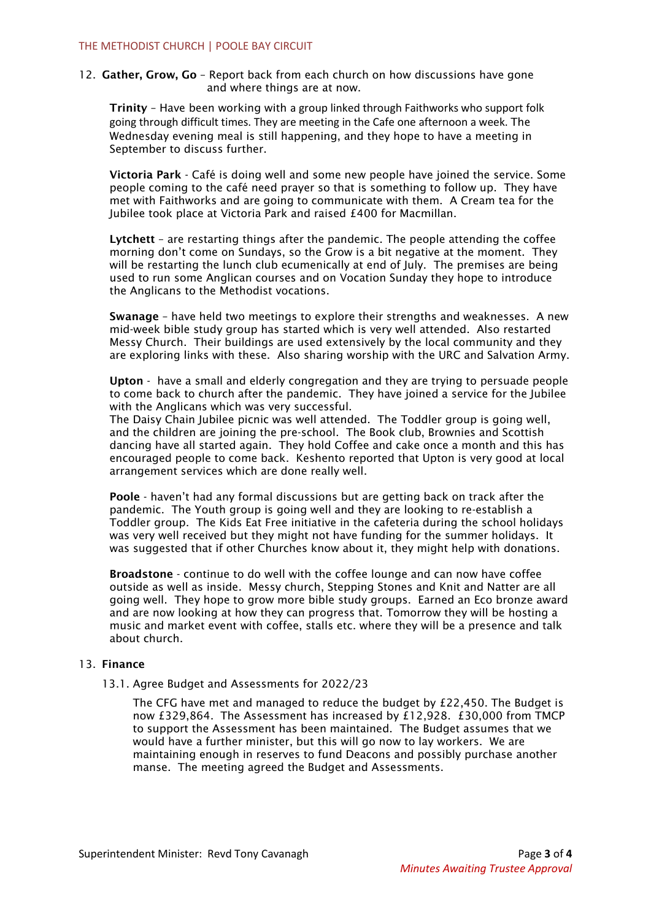12. Gather, Grow, Go - Report back from each church on how discussions have gone and where things are at now.

Trinity – Have been working with a group linked through Faithworks who support folk going through difficult times. They are meeting in the Cafe one afternoon a week. The Wednesday evening meal is still happening, and they hope to have a meeting in September to discuss further.

Victoria Park - Café is doing well and some new people have joined the service. Some people coming to the café need prayer so that is something to follow up. They have met with Faithworks and are going to communicate with them. A Cream tea for the Jubilee took place at Victoria Park and raised £400 for Macmillan.

Lytchett – are restarting things after the pandemic. The people attending the coffee morning don't come on Sundays, so the Grow is a bit negative at the moment. They will be restarting the lunch club ecumenically at end of July. The premises are being used to run some Anglican courses and on Vocation Sunday they hope to introduce the Anglicans to the Methodist vocations.

Swanage – have held two meetings to explore their strengths and weaknesses. A new mid-week bible study group has started which is very well attended. Also restarted Messy Church. Their buildings are used extensively by the local community and they are exploring links with these. Also sharing worship with the URC and Salvation Army.

Upton - have a small and elderly congregation and they are trying to persuade people to come back to church after the pandemic. They have joined a service for the Jubilee with the Anglicans which was very successful.

The Daisy Chain Jubilee picnic was well attended. The Toddler group is going well, and the children are joining the pre-school. The Book club, Brownies and Scottish dancing have all started again. They hold Coffee and cake once a month and this has encouraged people to come back. Keshento reported that Upton is very good at local arrangement services which are done really well.

Poole - haven't had any formal discussions but are getting back on track after the pandemic. The Youth group is going well and they are looking to re-establish a Toddler group. The Kids Eat Free initiative in the cafeteria during the school holidays was very well received but they might not have funding for the summer holidays. It was suggested that if other Churches know about it, they might help with donations.

Broadstone - continue to do well with the coffee lounge and can now have coffee outside as well as inside. Messy church, Stepping Stones and Knit and Natter are all going well. They hope to grow more bible study groups. Earned an Eco bronze award and are now looking at how they can progress that. Tomorrow they will be hosting a music and market event with coffee, stalls etc. where they will be a presence and talk about church.

# 13. Finance

13.1. Agree Budget and Assessments for 2022/23

The CFG have met and managed to reduce the budget by £22,450. The Budget is now £329,864. The Assessment has increased by £12,928. £30,000 from TMCP to support the Assessment has been maintained. The Budget assumes that we would have a further minister, but this will go now to lay workers. We are maintaining enough in reserves to fund Deacons and possibly purchase another manse. The meeting agreed the Budget and Assessments.